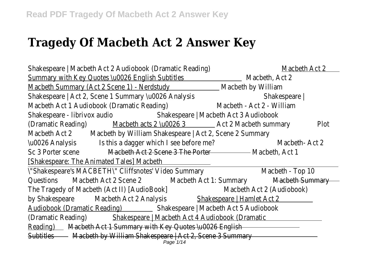## **Tragedy Of Macbeth Act 2 Answer Key**

| Shakespeare   Macbeth Act 2 Audiobook (Dramatic Reading)                                 |                                                                                                                                                                                                                                             | Macbeth Act 2             |      |  |  |
|------------------------------------------------------------------------------------------|---------------------------------------------------------------------------------------------------------------------------------------------------------------------------------------------------------------------------------------------|---------------------------|------|--|--|
| Summary with Key Quotes \u0026 English Subtitles                                         |                                                                                                                                                                                                                                             | Macbeth, Act 2            |      |  |  |
| Macbeth Summary (Act 2 Scene 1) - Nerdstudy                                              |                                                                                                                                                                                                                                             | Macbeth by William        |      |  |  |
| Shakespeare   Act 2, Scene 1 Summary \u0026 Analysis                                     |                                                                                                                                                                                                                                             | Shakespeare               |      |  |  |
| Macbeth Act 1 Audiobook (Dramatic Reading)                                               |                                                                                                                                                                                                                                             | Macbeth - Act 2 - William |      |  |  |
| Shakespeare - librivox audio<br>Shakespeare   Macbeth Act 3 Audiobook                    |                                                                                                                                                                                                                                             |                           |      |  |  |
| (Dramatic Reading)                                                                       | Macbeth acts 2 \u0026 3 4 \text{\bmg \text{\bmg \text{\bmg}}\$ \text{\bmg}\$ \text{\bmg}\$ \text{\bmg}\$ \text{\bmg}\$ \text{\bmg}\$ \text{\bmg}\$ \text{\bmg}\$ \text{\bmg}\$ \text{\bmg}\$ \text{\bmg}\$ \text{\bmg}\$ \text{\bmg}\$ \tex |                           | Plot |  |  |
| Macbeth by William Shakespeare   Act 2, Scene 2 Summary<br>Macbeth Act 2                 |                                                                                                                                                                                                                                             |                           |      |  |  |
| Is this a dagger which I see before me?<br>\u0026 Analysis                               |                                                                                                                                                                                                                                             | Macbeth-Act 2             |      |  |  |
| Sc 3 Porter scene                                                                        | Macbeth Act 2 Scene 3 The Porter                                                                                                                                                                                                            | Macbeth, Act 1            |      |  |  |
| <u>[Shakespeare: The Animated Tales] Macbeth </u>                                        |                                                                                                                                                                                                                                             |                           |      |  |  |
| \"Shakespeare's MACBETH\" Cliffsnotes' Video Summary                                     |                                                                                                                                                                                                                                             | Macbeth - Top 10          |      |  |  |
| Questions<br>Macbeth Act 2 Scene 2                                                       | Macbeth Act 1: Summary                                                                                                                                                                                                                      | Macbeth Summary           |      |  |  |
| The Tragedy of Macbeth (Act II) [AudioBook]                                              |                                                                                                                                                                                                                                             | Macbeth Act 2 (Audiobook) |      |  |  |
| by Shakespeare<br>Macbeth Act 2 Analysis                                                 | Shakespeare   Hamlet Act 2                                                                                                                                                                                                                  |                           |      |  |  |
| <b>Audiobook (Dramatic Reading)</b><br>Shakespeare   Macbeth Act 5 Audiobook             |                                                                                                                                                                                                                                             |                           |      |  |  |
| (Dramatic Reading)<br>Shakespeare   Macbeth Act 4 Audiobook (Dramatic                    |                                                                                                                                                                                                                                             |                           |      |  |  |
| Reading) Macbeth Act 1 Summary with Key Quotes \u0026 English                            |                                                                                                                                                                                                                                             |                           |      |  |  |
| Macbeth by William Shakespeare   Act 2, Scene 3 Summary<br><b>Subtitles</b><br>Page 1/14 |                                                                                                                                                                                                                                             |                           |      |  |  |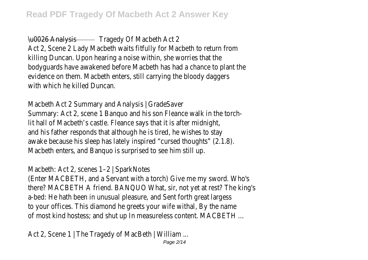\u0026 Analysis Tragedy Of Macbeth Act 2 Act 2, Scene 2 Lady Macbeth waits fitfully for Macbeth to return from killing Duncan. Upon hearing a noise within, she worries that the bodyguards have awakened before Macbeth has had a chance to plant the evidence on them. Macbeth enters, still carrying the bloody daggers with which he killed Duncan.

Macbeth Act 2 Summary and Analysis | GradeSaver Summary: Act 2, scene 1 Banquo and his son Fleance walk in the torchlit hall of Macbeth's castle. Fleance says that it is after midnight, and his father responds that although he is tired, he wishes to stay awake because his sleep has lately inspired "cursed thoughts" (2.1.8). Macbeth enters, and Banquo is surprised to see him still up.

Macbeth: Act 2, scenes 1–2 | SparkNotes

(Enter MACBETH, and a Servant with a torch) Give me my sword. Who's there? MACBETH A friend. BANQUO What, sir, not yet at rest? The king's a-bed: He hath been in unusual pleasure, and Sent forth great largess to your offices. This diamond he greets your wife withal, By the name of most kind hostess; and shut up In measureless content. MACBETH ...

Act 2, Scene 1 | The Tragedy of MacBeth | William ...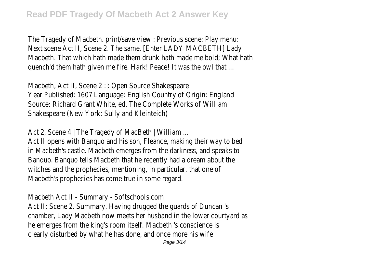The Tragedy of Macbeth. print/save view : Previous scene: Play menu: Next scene Act II, Scene 2. The same. [Enter LADY MACBETH] Lady Macbeth. That which hath made them drunk hath made me bold; What hath quench'd them hath given me fire. Hark! Peace! It was the owl that ...

Macbeth, Act II, Scene 2 : l: Open Source Shakespeare Year Published: 1607 Language: English Country of Origin: England Source: Richard Grant White, ed. The Complete Works of William Shakespeare (New York: Sully and Kleinteich)

Act 2, Scene 4 | The Tragedy of MacBeth | William ...

Act II opens with Banquo and his son, Fleance, making their way to bed in Macbeth's castle. Macbeth emerges from the darkness, and speaks to Banquo. Banquo tells Macbeth that he recently had a dream about the witches and the prophecies, mentioning, in particular, that one of Macbeth's prophecies has come true in some regard.

Macbeth Act II - Summary - Softschools.com Act II: Scene 2. Summary. Having drugged the guards of Duncan 's chamber, Lady Macbeth now meets her husband in the lower courtyard as he emerges from the king's room itself. Macbeth 's conscience is clearly disturbed by what he has done, and once more his wife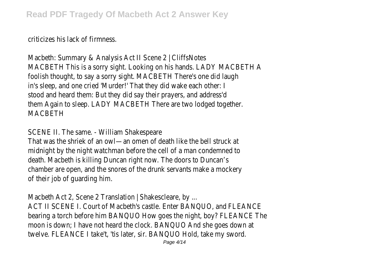criticizes his lack of firmness.

Macbeth: Summary & Analysis Act II Scene 2 | CliffsNotes MACBETH This is a sorry sight. Looking on his hands. LADY MACBETH A foolish thought, to say a sorry sight. MACBETH There's one did laugh in's sleep, and one cried 'Murder!' That they did wake each other: I stood and heard them: But they did say their prayers, and address'd them Again to sleep. LADY MACBETH There are two lodged together. **MACRETH** 

## SCENE II. The same. - William Shakespeare

That was the shriek of an owl—an omen of death like the bell struck at midnight by the night watchman before the cell of a man condemned to death. Macbeth is killing Duncan right now. The doors to Duncan's chamber are open, and the snores of the drunk servants make a mockery of their job of guarding him.

Macbeth Act 2, Scene 2 Translation | Shakescleare, by ... ACT II SCENE I. Court of Macbeth's castle. Enter BANQUO, and FLEANCE bearing a torch before him BANQUO How goes the night, boy? FLEANCE The moon is down; I have not heard the clock. BANQUO And she goes down at twelve. FLEANCE I take't, 'tis later, sir. BANQUO Hold, take my sword. Page 4/14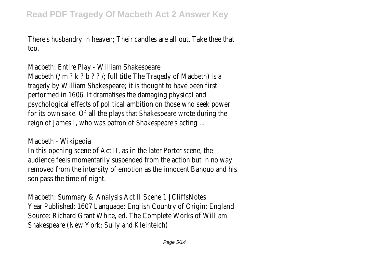There's husbandry in heaven; Their candles are all out. Take thee that too.

Macbeth: Entire Play - William Shakespeare Macbeth (/ m ? k ? b ? ? /; full title The Tragedy of Macbeth) is a tragedy by William Shakespeare; it is thought to have been first performed in 1606. It dramatises the damaging physical and psychological effects of political ambition on those who seek power for its own sake. Of all the plays that Shakespeare wrote during the reign of James I, who was patron of Shakespeare's acting ...

Macbeth - Wikipedia

In this opening scene of Act II, as in the later Porter scene, the audience feels momentarily suspended from the action but in no way removed from the intensity of emotion as the innocent Banquo and his son pass the time of night.

Macbeth: Summary & Analysis Act II Scene 1 | CliffsNotes Year Published: 1607 Language: English Country of Origin: England Source: Richard Grant White, ed. The Complete Works of William Shakespeare (New York: Sully and Kleinteich)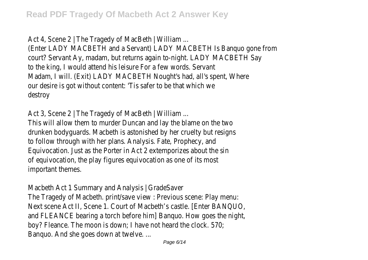Act 4, Scene 2 | The Tragedy of MacBeth | William ...

(Enter LADY MACBETH and a Servant) LADY MACBETH Is Banquo gone from court? Servant Ay, madam, but returns again to-night. LADY MACBETH Say to the king, I would attend his leisure For a few words. Servant Madam, I will. (Exit) LADY MACBETH Nought's had, all's spent, Where our desire is got without content: 'Tis safer to be that which we destroy

Act 3, Scene 2 | The Tragedy of MacBeth | William ... This will allow them to murder Duncan and lay the blame on the two drunken bodyguards. Macbeth is astonished by her cruelty but resigns to follow through with her plans. Analysis. Fate, Prophecy, and Equivocation. Just as the Porter in Act 2 extemporizes about the sin of equivocation, the play figures equivocation as one of its most important themes.

Macbeth Act 1 Summary and Analysis | GradeSaver

The Tragedy of Macbeth. print/save view : Previous scene: Play menu: Next scene Act II, Scene 1. Court of Macbeth's castle. [Enter BANQUO, and FLEANCE bearing a torch before him] Banquo. How goes the night, boy? Fleance. The moon is down; I have not heard the clock. 570; Banquo. And she goes down at twelve. ...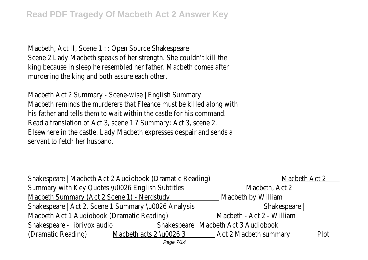Macbeth, Act II, Scene 1 : : Open Source Shakespeare Scene 2 Lady Macbeth speaks of her strength. She couldn't kill the king because in sleep he resembled her father. Macbeth comes after murdering the king and both assure each other.

Macbeth Act 2 Summary - Scene-wise | English Summary Macbeth reminds the murderers that Fleance must be killed along with his father and tells them to wait within the castle for his command. Read a translation of Act 3, scene 1 ? Summary: Act 3, scene 2. Elsewhere in the castle, Lady Macbeth expresses despair and sends a servant to fetch her husband.

| Shakespeare   Macbeth Act 2 Audiobook (Dramatic Reading) |                                       |                           | Macbeth Act 2 |  |
|----------------------------------------------------------|---------------------------------------|---------------------------|---------------|--|
| Summary with Key Quotes \u0026 English Subtitles         |                                       | Macbeth, Act 2            |               |  |
| Macbeth Summary (Act 2 Scene 1) - Nerdstudy              |                                       | Macbeth by William        |               |  |
| Shakespeare   Act 2, Scene 1 Summary \u0026 Analysis     |                                       | Shakespeare               |               |  |
| Macbeth Act 1 Audiobook (Dramatic Reading)               |                                       | Macbeth - Act 2 - William |               |  |
| Shakespeare - librivox audio                             | Shakespeare   Macbeth Act 3 Audiobook |                           |               |  |
| (Dramatic Reading)                                       | Macbeth acts 2 \u0026 3               | Act 2 Macbeth summary     | Plot          |  |
|                                                          | Page 7/14                             |                           |               |  |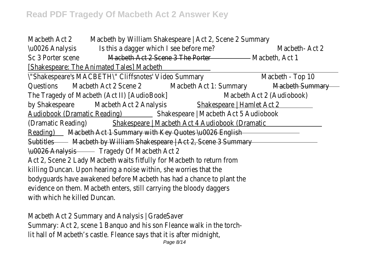## **Read PDF Tragedy Of Macbeth Act 2 Answer Key**

| Macbeth Act 2                                                            |                                                                       | Macbeth by William Shakespeare   Act 2, Scene 2 Summary |                  |  |  |
|--------------------------------------------------------------------------|-----------------------------------------------------------------------|---------------------------------------------------------|------------------|--|--|
| \u0026 Analysis                                                          | Is this a dagger which I see before me?                               |                                                         | Macbeth-Act 2    |  |  |
| Sc 3 Porter scene                                                        | Macbeth Act 2 Scene 3 The Porter                                      |                                                         | – Macbeth, Act 1 |  |  |
| [Shakespeare: The Animated Tales] Macbeth                                |                                                                       |                                                         |                  |  |  |
|                                                                          | \"Shakespeare's MACBETH\" Cliffsnotes' Video Summary                  |                                                         | Macbeth - Top 10 |  |  |
| Questions                                                                | Macbeth Act 2 Scene 2                                                 | Macbeth Act 1: Summary                                  | Macbeth Summary  |  |  |
| The Tragedy of Macbeth (Act II) [AudioBook]<br>Macbeth Act 2 (Audiobook) |                                                                       |                                                         |                  |  |  |
| by Shakespeare                                                           | Macbeth Act 2 Analysis                                                | Shakespeare   Hamlet Act 2                              |                  |  |  |
| <b>Audiobook (Dramatic Reading)</b>                                      |                                                                       | Shakespeare   Macbeth Act 5 Audiobook                   |                  |  |  |
| (Dramatic Reading)                                                       |                                                                       | Shakespeare   Macbeth Act 4 Audiobook (Dramatic         |                  |  |  |
| Macbeth Act 1 Summary with Key Quotes \u0026 English<br>Reading) example |                                                                       |                                                         |                  |  |  |
| Subtitles Macbeth by William Shakespeare   Act 2, Scene 3 Summary        |                                                                       |                                                         |                  |  |  |
|                                                                          | \u0026 Analysis Tragedy Of Macbeth Act 2                              |                                                         |                  |  |  |
|                                                                          | Act 2, Scene 2 Lady Macbeth waits fitfully for Macbeth to return from |                                                         |                  |  |  |
| killing Duncan. Upon hearing a noise within, she worries that the        |                                                                       |                                                         |                  |  |  |
| bodyguards have awakened before Macbeth has had a chance to plant the    |                                                                       |                                                         |                  |  |  |
| evidence on them. Macbeth enters, still carrying the bloody daggers      |                                                                       |                                                         |                  |  |  |
| with which he killed Duncan.                                             |                                                                       |                                                         |                  |  |  |
|                                                                          |                                                                       |                                                         |                  |  |  |
|                                                                          | Macbeth Act 2 Summary and Analysis   GradeSaver                       |                                                         |                  |  |  |
|                                                                          | Summary: Act 2, scene 1 Banquo and his son Fleance walk in the torch- |                                                         |                  |  |  |
| lit hall of Macbeth's castle. Fleance says that it is after midnight,    |                                                                       |                                                         |                  |  |  |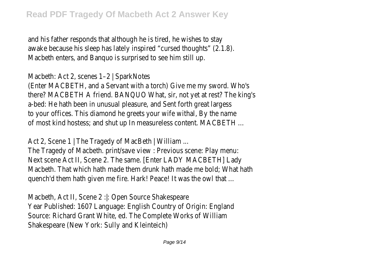and his father responds that although he is tired, he wishes to stay awake because his sleep has lately inspired "cursed thoughts" (2.1.8). Macbeth enters, and Banquo is surprised to see him still up.

Macbeth: Act 2, scenes 1–2 | SparkNotes

(Enter MACBETH, and a Servant with a torch) Give me my sword. Who's there? MACBETH A friend. BANQUO What, sir, not yet at rest? The king's a-bed: He hath been in unusual pleasure, and Sent forth great largess to your offices. This diamond he greets your wife withal, By the name of most kind hostess; and shut up In measureless content. MACBETH ...

Act 2, Scene 1 | The Tragedy of MacBeth | William ... The Tragedy of Macbeth. print/save view : Previous scene: Play menu: Next scene Act II, Scene 2. The same. [Enter LADY MACBETH] Lady Macbeth. That which hath made them drunk hath made me bold; What hath quench'd them hath given me fire. Hark! Peace! It was the owl that ...

Macbeth, Act II, Scene 2 :|: Open Source Shakespeare Year Published: 1607 Language: English Country of Origin: England Source: Richard Grant White, ed. The Complete Works of William Shakespeare (New York: Sully and Kleinteich)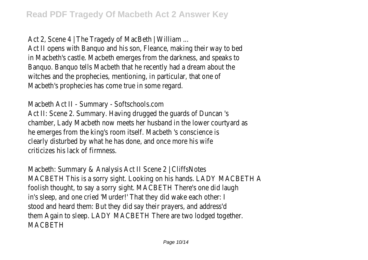Act 2, Scene 4 | The Tragedy of MacBeth | William ...

Act II opens with Banquo and his son, Fleance, making their way to bed in Macbeth's castle. Macbeth emerges from the darkness, and speaks to Banquo. Banquo tells Macbeth that he recently had a dream about the witches and the prophecies, mentioning, in particular, that one of Macbeth's prophecies has come true in some regard.

Macbeth Act II - Summary - Softschools.com Act II: Scene 2. Summary. Having drugged the guards of Duncan 's chamber, Lady Macbeth now meets her husband in the lower courtyard as he emerges from the king's room itself. Macbeth 's conscience is clearly disturbed by what he has done, and once more his wife criticizes his lack of firmness.

Macbeth: Summary & Analysis Act II Scene 2 | CliffsNotes MACBETH This is a sorry sight. Looking on his hands. LADY MACBETH A foolish thought, to say a sorry sight. MACBETH There's one did laugh in's sleep, and one cried 'Murder!' That they did wake each other: I stood and heard them: But they did say their prayers, and address'd them Again to sleep. LADY MACBETH There are two lodged together. MACBETH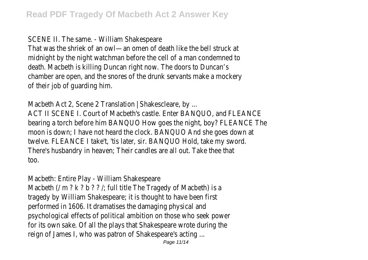SCENE II. The same. - William Shakespeare

That was the shriek of an owl—an omen of death like the bell struck at midnight by the night watchman before the cell of a man condemned to death. Macbeth is killing Duncan right now. The doors to Duncan's chamber are open, and the snores of the drunk servants make a mockery of their job of guarding him.

Macbeth Act 2, Scene 2 Translation | Shakescleare, by ... ACT II SCENE I. Court of Macbeth's castle. Enter BANQUO, and FLEANCE bearing a torch before him BANQUO How goes the night, boy? FLEANCE The moon is down; I have not heard the clock. BANQUO And she goes down at twelve. FLEANCE I take't, 'tis later, sir. BANQUO Hold, take my sword. There's husbandry in heaven; Their candles are all out. Take thee that too.

Macbeth: Entire Play - William Shakespeare

Macbeth (/ m ? k ? b ? ? /; full title The Tragedy of Macbeth) is a tragedy by William Shakespeare; it is thought to have been first performed in 1606. It dramatises the damaging physical and psychological effects of political ambition on those who seek power for its own sake. Of all the plays that Shakespeare wrote during the reign of James I, who was patron of Shakespeare's acting ...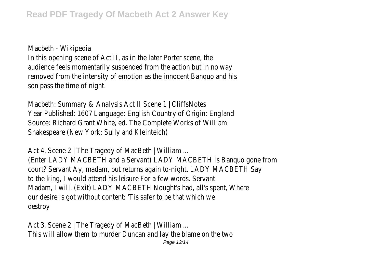Macbeth - Wikipedia

In this opening scene of Act II, as in the later Porter scene, the audience feels momentarily suspended from the action but in no way removed from the intensity of emotion as the innocent Banquo and his son pass the time of night.

Macbeth: Summary & Analysis Act II Scene 1 | CliffsNotes Year Published: 1607 Language: English Country of Origin: England Source: Richard Grant White, ed. The Complete Works of William Shakespeare (New York: Sully and Kleinteich)

Act 4, Scene 2 | The Tragedy of MacBeth | William ... (Enter LADY MACBETH and a Servant) LADY MACBETH Is Banquo gone from court? Servant Ay, madam, but returns again to-night. LADY MACBETH Say to the king, I would attend his leisure For a few words. Servant Madam, I will. (Exit) LADY MACBETH Nought's had, all's spent, Where our desire is got without content: 'Tis safer to be that which we destroy

Act 3, Scene 2 | The Tragedy of MacBeth | William ... This will allow them to murder Duncan and lay the blame on the two Page 12/14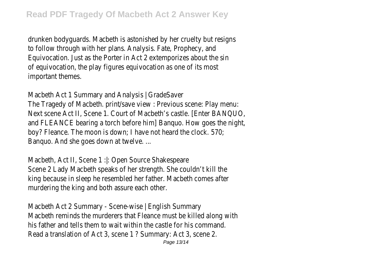drunken bodyguards. Macbeth is astonished by her cruelty but resigns to follow through with her plans. Analysis. Fate, Prophecy, and Equivocation. Just as the Porter in Act 2 extemporizes about the sin of equivocation, the play figures equivocation as one of its most important themes.

Macbeth Act 1 Summary and Analysis | GradeSaver The Tragedy of Macbeth. print/save view : Previous scene: Play menu: Next scene Act II, Scene 1. Court of Macbeth's castle. [Enter BANQUO, and FLEANCE bearing a torch before him] Banquo. How goes the night, boy? Fleance. The moon is down; I have not heard the clock. 570; Banquo. And she goes down at twelve. ...

Macbeth, Act II, Scene 1 : l: Open Source Shakespeare Scene 2 Lady Macbeth speaks of her strength. She couldn't kill the king because in sleep he resembled her father. Macbeth comes after murdering the king and both assure each other.

Macbeth Act 2 Summary - Scene-wise | English Summary Macbeth reminds the murderers that Fleance must be killed along with his father and tells them to wait within the castle for his command. Read a translation of Act 3, scene 1 ? Summary: Act 3, scene 2.